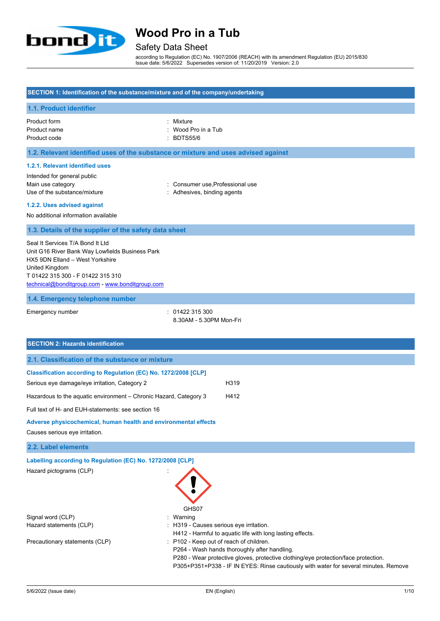

### Safety Data Sheet

according to Regulation (EC) No. 1907/2006 (REACH) with its amendment Regulation (EU) 2015/830 Issue date: 5/6/2022 Supersedes version of: 11/20/2019 Version: 2.0

#### **SECTION 1: Identification of the substance/mixture and of the company/undertaking**

#### **1.1. Product identifier**

Product form **: Mixture** : Mixture Product name : Wood Pro in a Tub Product code : BDTS55/6

#### **1.2. Relevant identified uses of the substance or mixture and uses advised against**

#### **1.2.1. Relevant identified uses**

Intended for general public Main use category **Example 20** Main use category **in the Consumer use, Professional use** Use of the substance/mixture in the substance in the set of the substance/mixture in the set of the substance in the set of the substance in the set of the substance in the set of the set of the set of the set of the set o

### **1.2.2. Uses advised against**

No additional information available

#### **1.3. Details of the supplier of the safety data sheet**

Seal It Services T/A Bond It Ltd Unit G16 River Bank Way Lowfields Business Park HX5 9DN Elland – West Yorkshire United Kingdom T 01422 315 300 - F 01422 315 310 [technical@bonditgroup.com](mailto:technical@bonditgroup.com) - [www.bonditgroup.com](http://www.bonditgroup.com/)

#### **1.4. Emergency telephone number**

Emergency number : 01422 315 300 8.30AM - 5.30PM Mon-Fri

| <b>SECTION 2: Hazards identification</b>                          |                                         |                                                                                                                                                                                                                            |
|-------------------------------------------------------------------|-----------------------------------------|----------------------------------------------------------------------------------------------------------------------------------------------------------------------------------------------------------------------------|
| 2.1. Classification of the substance or mixture                   |                                         |                                                                                                                                                                                                                            |
| Classification according to Regulation (EC) No. 1272/2008 [CLP]   |                                         |                                                                                                                                                                                                                            |
| Serious eye damage/eye irritation, Category 2                     |                                         | H319                                                                                                                                                                                                                       |
| Hazardous to the aquatic environment - Chronic Hazard, Category 3 |                                         | H412                                                                                                                                                                                                                       |
| Full text of H- and EUH-statements: see section 16                |                                         |                                                                                                                                                                                                                            |
| Adverse physicochemical, human health and environmental effects   |                                         |                                                                                                                                                                                                                            |
| Causes serious eye irritation.                                    |                                         |                                                                                                                                                                                                                            |
| 2.2. Label elements                                               |                                         |                                                                                                                                                                                                                            |
| Labelling according to Regulation (EC) No. 1272/2008 [CLP]        |                                         |                                                                                                                                                                                                                            |
| Hazard pictograms (CLP)                                           | GHS07                                   |                                                                                                                                                                                                                            |
| Signal word (CLP)                                                 | Warning                                 |                                                                                                                                                                                                                            |
| Hazard statements (CLP)                                           | : H319 - Causes serious eye irritation. | H412 - Harmful to aquatic life with long lasting effects.                                                                                                                                                                  |
| Precautionary statements (CLP)                                    | : P102 - Keep out of reach of children. | P264 - Wash hands thoroughly after handling.<br>P280 - Wear protective gloves, protective clothing/eye protection/face protection.<br>P305+P351+P338 - IF IN EYES: Rinse cautiously with water for several minutes. Remove |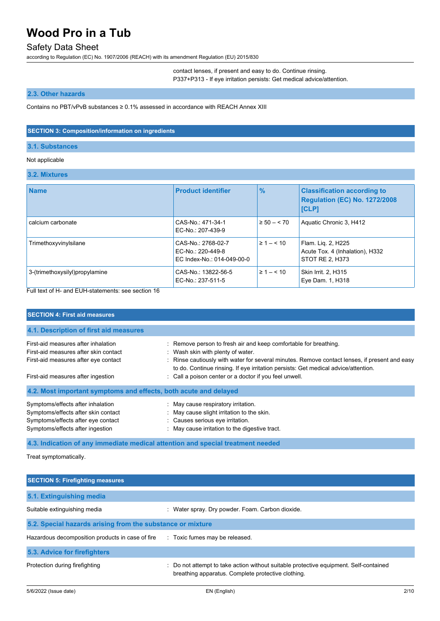### Safety Data Sheet

according to Regulation (EC) No. 1907/2006 (REACH) with its amendment Regulation (EU) 2015/830

contact lenses, if present and easy to do. Continue rinsing.

P337+P313 - If eye irritation persists: Get medical advice/attention.

### **2.3. Other hazards**

Contains no PBT/vPvB substances ≥ 0.1% assessed in accordance with REACH Annex XIII

#### **SECTION 3: Composition/information on ingredients**

#### **3.1. Substances**

#### Not applicable

#### **3.2. Mixtures**

| <b>Name</b>                    | <b>Product identifier</b>                                             | $\frac{9}{6}$      | <b>Classification according to</b><br><b>Regulation (EC) No. 1272/2008</b><br>[CLP] |
|--------------------------------|-----------------------------------------------------------------------|--------------------|-------------------------------------------------------------------------------------|
| calcium carbonate              | CAS-No: 471-34-1<br>EC-No.: 207-439-9                                 | $\geq 50 - 570$    | Aquatic Chronic 3, H412                                                             |
| Trimethoxyvinylsilane          | CAS-No.: 2768-02-7<br>EC-No.: 220-449-8<br>EC Index-No.: 014-049-00-0 | $\geq 1 - \leq 10$ | Flam. Lig. 2, H225<br>Acute Tox. 4 (Inhalation), H332<br>STOT RE 2. H373            |
| 3-(trimethoxysilyl)propylamine | CAS-No.: 13822-56-5<br>EC-No.: 237-511-5                              | $\geq 1 - \leq 10$ | <b>Skin Irrit. 2, H315</b><br>Eye Dam. 1, H318                                      |

Full text of H- and EUH-statements: see section 16

| <b>SECTION 4: First aid measures</b>                                                                                                               |                                                                                                                                                                                                                                                                                              |  |
|----------------------------------------------------------------------------------------------------------------------------------------------------|----------------------------------------------------------------------------------------------------------------------------------------------------------------------------------------------------------------------------------------------------------------------------------------------|--|
| 4.1. Description of first aid measures                                                                                                             |                                                                                                                                                                                                                                                                                              |  |
| First-aid measures after inhalation<br>First-aid measures after skin contact<br>First-aid measures after eye contact                               | : Remove person to fresh air and keep comfortable for breathing.<br>: Wash skin with plenty of water.<br>: Rinse cautiously with water for several minutes. Remove contact lenses, if present and easy<br>to do. Continue rinsing. If eye irritation persists: Get medical advice/attention. |  |
| First-aid measures after ingestion                                                                                                                 | : Call a poison center or a doctor if you feel unwell.                                                                                                                                                                                                                                       |  |
| 4.2. Most important symptoms and effects, both acute and delayed                                                                                   |                                                                                                                                                                                                                                                                                              |  |
| Symptoms/effects after inhalation<br>Symptoms/effects after skin contact<br>Symptoms/effects after eye contact<br>Symptoms/effects after ingestion | : May cause respiratory irritation.<br>: May cause slight irritation to the skin.<br>: Causes serious eye irritation.<br>: May cause irritation to the digestive tract.                                                                                                                      |  |

**4.3. Indication of any immediate medical attention and special treatment needed**

Treat symptomatically.

| <b>SECTION 5: Firefighting measures</b>                    |                                                                                                                                             |  |  |
|------------------------------------------------------------|---------------------------------------------------------------------------------------------------------------------------------------------|--|--|
| 5.1. Extinguishing media                                   |                                                                                                                                             |  |  |
| Suitable extinguishing media                               | : Water spray. Dry powder. Foam. Carbon dioxide.                                                                                            |  |  |
| 5.2. Special hazards arising from the substance or mixture |                                                                                                                                             |  |  |
| Hazardous decomposition products in case of fire           | : Toxic fumes may be released.                                                                                                              |  |  |
| 5.3. Advice for firefighters                               |                                                                                                                                             |  |  |
| Protection during firefighting                             | : Do not attempt to take action without suitable protective equipment. Self-contained<br>breathing apparatus. Complete protective clothing. |  |  |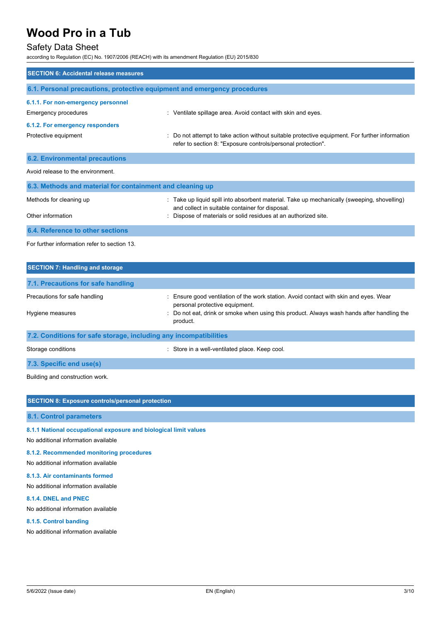### Safety Data Sheet

according to Regulation (EC) No. 1907/2006 (REACH) with its amendment Regulation (EU) 2015/830

| <b>SECTION 6: Accidental release measures</b>                            |                                                                                                                                                              |
|--------------------------------------------------------------------------|--------------------------------------------------------------------------------------------------------------------------------------------------------------|
| 6.1. Personal precautions, protective equipment and emergency procedures |                                                                                                                                                              |
| 6.1.1. For non-emergency personnel                                       |                                                                                                                                                              |
| <b>Emergency procedures</b>                                              | : Ventilate spillage area. Avoid contact with skin and eyes.                                                                                                 |
| 6.1.2. For emergency responders                                          |                                                                                                                                                              |
| Protective equipment                                                     | Do not attempt to take action without suitable protective equipment. For further information<br>refer to section 8: "Exposure controls/personal protection". |
| <b>6.2. Environmental precautions</b>                                    |                                                                                                                                                              |
| Avoid release to the environment.                                        |                                                                                                                                                              |
| 6.3. Methods and material for containment and cleaning up                |                                                                                                                                                              |
| Methods for cleaning up                                                  | : Take up liquid spill into absorbent material. Take up mechanically (sweeping, shovelling)<br>and collect in suitable container for disposal.               |
| Other information                                                        | Dispose of materials or solid residues at an authorized site.                                                                                                |
| 6.4. Reference to other sections                                         |                                                                                                                                                              |
| For further information refer to section 13.                             |                                                                                                                                                              |
| <b>SECTION 7: Handling and storage</b>                                   |                                                                                                                                                              |
| 71 Procautions for safe handling                                         |                                                                                                                                                              |

| 7.1. FIGURDIS TOI SAIG HAHUIHIY |                                                                                                                         |
|---------------------------------|-------------------------------------------------------------------------------------------------------------------------|
| Precautions for safe handling   | . Ensure good ventilation of the work station. Avoid contact with skin and eyes. Wear<br>personal protective equipment. |
| Hygiene measures                | : Do not eat, drink or smoke when using this product. Always wash hands after handling the<br>product.                  |
|                                 |                                                                                                                         |

**7.2. Conditions for safe storage, including any incompatibilities**

Storage conditions **Storage conditions** : Store in a well-ventilated place. Keep cool.

**7.3. Specific end use(s)**

Building and construction work.

| <b>SECTION 8: Exposure controls/personal protection</b>          |
|------------------------------------------------------------------|
| 8.1. Control parameters                                          |
| 8.1.1 National occupational exposure and biological limit values |

No additional information available

#### **8.1.2. Recommended monitoring procedures**

No additional information available

#### **8.1.3. Air contaminants formed**

No additional information available

#### **8.1.4. DNEL and PNEC**

No additional information available

#### **8.1.5. Control banding**

No additional information available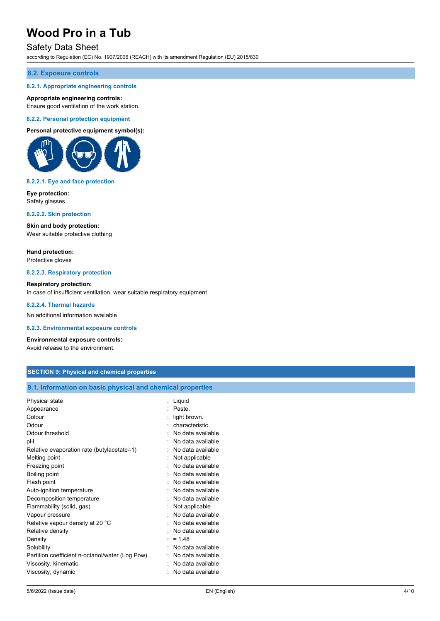### Safety Data Sheet

according to Regulation (EC) No. 1907/2006 (REACH) with its amendment Regulation (EU) 2015/830

#### **8.2. Exposure controls**

#### **8.2.1. Appropriate engineering controls**

#### **Appropriate engineering controls:**

Ensure good ventilation of the work station.

#### **8.2.2. Personal protection equipment**

#### **Personal protective equipment symbol(s):**



#### **8.2.2.1. Eye and face protection**

**Eye protection:** Safety glasses

#### **8.2.2.2. Skin protection**

**Skin and body protection:** Wear suitable protective clothing

**Hand protection:** Protective gloves

#### **8.2.2.3. Respiratory protection**

#### **Respiratory protection:**

In case of insufficient ventilation, wear suitable respiratory equipment

#### **8.2.2.4. Thermal hazards**

No additional information available

#### **8.2.3. Environmental exposure controls**

#### **Environmental exposure controls:**

Avoid release to the environment.

#### **SECTION 9: Physical and chemical properties**

#### **9.1. Information on basic physical and chemical properties**

| Colour<br>light brown.<br>Odour<br>Odour threshold<br>рH<br>Relative evaporation rate (butylacetate=1)<br>Melting point<br>Freezing point<br>Boiling point<br>Flash point<br>Auto-ignition temperature<br>Decomposition temperature<br>Flammability (solid, gas)<br>Vapour pressure<br>Relative vapour density at 20 °C<br>Relative density<br>Density<br>Solubility | characteristic<br>No data available<br>No data available<br>No data available<br>Not applicable<br>No data available<br>No data available<br>No data available<br>No data available<br>No data available<br>Not applicable<br>No data available<br>No data available<br>No data available<br>$\approx$ 1.48<br>No data available |
|----------------------------------------------------------------------------------------------------------------------------------------------------------------------------------------------------------------------------------------------------------------------------------------------------------------------------------------------------------------------|----------------------------------------------------------------------------------------------------------------------------------------------------------------------------------------------------------------------------------------------------------------------------------------------------------------------------------|
| Partition coefficient n-octanol/water (Log Pow)                                                                                                                                                                                                                                                                                                                      | No data available                                                                                                                                                                                                                                                                                                                |
| Viscosity, kinematic                                                                                                                                                                                                                                                                                                                                                 | No data available                                                                                                                                                                                                                                                                                                                |
| Viscosity, dynamic                                                                                                                                                                                                                                                                                                                                                   | No data available                                                                                                                                                                                                                                                                                                                |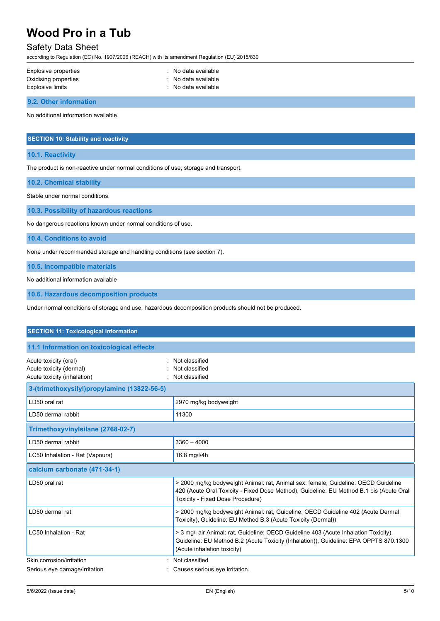### Safety Data Sheet

according to Regulation (EC) No. 1907/2006 (REACH) with its amendment Regulation (EU) 2015/830

| Explosive properties | : No data available |  |
|----------------------|---------------------|--|
| Oxidising properties | : No data available |  |
| Explosive limits     | : No data available |  |
|                      |                     |  |

**9.2. Other information**

No additional information available

#### **SECTION 10: Stability and reactivity**

**10.1. Reactivity**

The product is non-reactive under normal conditions of use, storage and transport.

**10.2. Chemical stability**

Stable under normal conditions.

**10.3. Possibility of hazardous reactions**

No dangerous reactions known under normal conditions of use.

**10.4. Conditions to avoid**

None under recommended storage and handling conditions (see section 7).

**10.5. Incompatible materials**

No additional information available

**10.6. Hazardous decomposition products**

Under normal conditions of storage and use, hazardous decomposition products should not be produced.

| <b>SECTION 11: Toxicological information</b>                                    |                                                                                                                                                                                                                   |
|---------------------------------------------------------------------------------|-------------------------------------------------------------------------------------------------------------------------------------------------------------------------------------------------------------------|
| 11.1 Information on toxicological effects                                       |                                                                                                                                                                                                                   |
| Acute toxicity (oral)<br>Acute toxicity (dermal)<br>Acute toxicity (inhalation) | Not classified<br>Not classified<br>Not classified                                                                                                                                                                |
| 3-(trimethoxysilyl)propylamine (13822-56-5)                                     |                                                                                                                                                                                                                   |
| LD50 oral rat                                                                   | 2970 mg/kg bodyweight                                                                                                                                                                                             |
| LD50 dermal rabbit                                                              | 11300                                                                                                                                                                                                             |
| Trimethoxyvinylsilane (2768-02-7)                                               |                                                                                                                                                                                                                   |
| LD50 dermal rabbit                                                              | $3360 - 4000$                                                                                                                                                                                                     |
| LC50 Inhalation - Rat (Vapours)                                                 | 16.8 mg/l/4h                                                                                                                                                                                                      |
| calcium carbonate (471-34-1)                                                    |                                                                                                                                                                                                                   |
| LD50 oral rat                                                                   | > 2000 mg/kg bodyweight Animal: rat, Animal sex: female, Guideline: OECD Guideline<br>420 (Acute Oral Toxicity - Fixed Dose Method), Guideline: EU Method B.1 bis (Acute Oral<br>Toxicity - Fixed Dose Procedure) |
| LD50 dermal rat                                                                 | > 2000 mg/kg bodyweight Animal: rat, Guideline: OECD Guideline 402 (Acute Dermal<br>Toxicity), Guideline: EU Method B.3 (Acute Toxicity (Dermal))                                                                 |
| LC50 Inhalation - Rat                                                           | > 3 mg/l air Animal: rat, Guideline: OECD Guideline 403 (Acute Inhalation Toxicity),<br>Guideline: EU Method B.2 (Acute Toxicity (Inhalation)), Guideline: EPA OPPTS 870.1300<br>(Acute inhalation toxicity)      |
| Skin corrosion/irritation                                                       | : Not classified                                                                                                                                                                                                  |
| Serious eye damage/irritation                                                   | Causes serious eye irritation.                                                                                                                                                                                    |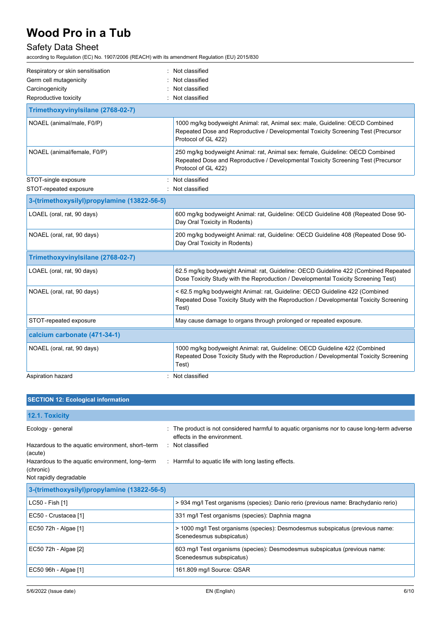## Safety Data Sheet

according to Regulation (EC) No. 1907/2006 (REACH) with its amendment Regulation (EU) 2015/830

| Respiratory or skin sensitisation           | : Not classified                                                                                                                                                                           |
|---------------------------------------------|--------------------------------------------------------------------------------------------------------------------------------------------------------------------------------------------|
| Germ cell mutagenicity                      | Not classified                                                                                                                                                                             |
| Carcinogenicity                             | Not classified                                                                                                                                                                             |
| Reproductive toxicity                       | : Not classified                                                                                                                                                                           |
| Trimethoxyvinylsilane (2768-02-7)           |                                                                                                                                                                                            |
| NOAEL (animal/male, F0/P)                   | 1000 mg/kg bodyweight Animal: rat, Animal sex: male, Guideline: OECD Combined<br>Repeated Dose and Reproductive / Developmental Toxicity Screening Test (Precursor<br>Protocol of GL 422)  |
| NOAEL (animal/female, F0/P)                 | 250 mg/kg bodyweight Animal: rat, Animal sex: female, Guideline: OECD Combined<br>Repeated Dose and Reproductive / Developmental Toxicity Screening Test (Precursor<br>Protocol of GL 422) |
| STOT-single exposure                        | : Not classified                                                                                                                                                                           |
| STOT-repeated exposure                      | : Not classified                                                                                                                                                                           |
| 3-(trimethoxysilyl)propylamine (13822-56-5) |                                                                                                                                                                                            |
| LOAEL (oral, rat, 90 days)                  | 600 mg/kg bodyweight Animal: rat, Guideline: OECD Guideline 408 (Repeated Dose 90-<br>Day Oral Toxicity in Rodents)                                                                        |
| NOAEL (oral, rat, 90 days)                  | 200 mg/kg bodyweight Animal: rat, Guideline: OECD Guideline 408 (Repeated Dose 90-<br>Day Oral Toxicity in Rodents)                                                                        |
| Trimethoxyvinylsilane (2768-02-7)           |                                                                                                                                                                                            |
| LOAEL (oral, rat, 90 days)                  | 62.5 mg/kg bodyweight Animal: rat, Guideline: OECD Guideline 422 (Combined Repeated<br>Dose Toxicity Study with the Reproduction / Developmental Toxicity Screening Test)                  |
| NOAEL (oral, rat, 90 days)                  | < 62.5 mg/kg bodyweight Animal: rat, Guideline: OECD Guideline 422 (Combined<br>Repeated Dose Toxicity Study with the Reproduction / Developmental Toxicity Screening<br>Test)             |
| STOT-repeated exposure                      | May cause damage to organs through prolonged or repeated exposure.                                                                                                                         |
| calcium carbonate (471-34-1)                |                                                                                                                                                                                            |
| NOAEL (oral, rat, 90 days)                  | 1000 mg/kg bodyweight Animal: rat, Guideline: OECD Guideline 422 (Combined<br>Repeated Dose Toxicity Study with the Reproduction / Developmental Toxicity Screening<br>Test)               |
| Aspiration hazard                           | : Not classified                                                                                                                                                                           |

| <b>SECTION 12: Ecological information</b>                                              |                                                                                                                            |  |
|----------------------------------------------------------------------------------------|----------------------------------------------------------------------------------------------------------------------------|--|
| 12.1. Toxicity                                                                         |                                                                                                                            |  |
| Ecology - general                                                                      | : The product is not considered harmful to aquatic organisms nor to cause long-term adverse<br>effects in the environment. |  |
| Hazardous to the aquatic environment, short-term<br>(acute)                            | : Not classified                                                                                                           |  |
| Hazardous to the aquatic environment, long-term<br>(chronic)<br>Not rapidly degradable | : Harmful to aquatic life with long lasting effects.                                                                       |  |
|                                                                                        |                                                                                                                            |  |
| 3-(trimethoxysilyl)propylamine (13822-56-5)                                            |                                                                                                                            |  |
| LC50 - Fish [1]                                                                        | > 934 mg/l Test organisms (species): Danio rerio (previous name: Brachydanio rerio)                                        |  |
| EC50 - Crustacea [1]                                                                   | 331 mg/l Test organisms (species): Daphnia magna                                                                           |  |
| EC50 72h - Algae [1]                                                                   | > 1000 mg/l Test organisms (species): Desmodesmus subspicatus (previous name:<br>Scenedesmus subspicatus)                  |  |
| EC50 72h - Algae [2]                                                                   | 603 mg/l Test organisms (species): Desmodesmus subspicatus (previous name:<br>Scenedesmus subspicatus)                     |  |
| EC50 96h - Algae [1]                                                                   | 161.809 mg/l Source: QSAR                                                                                                  |  |
|                                                                                        |                                                                                                                            |  |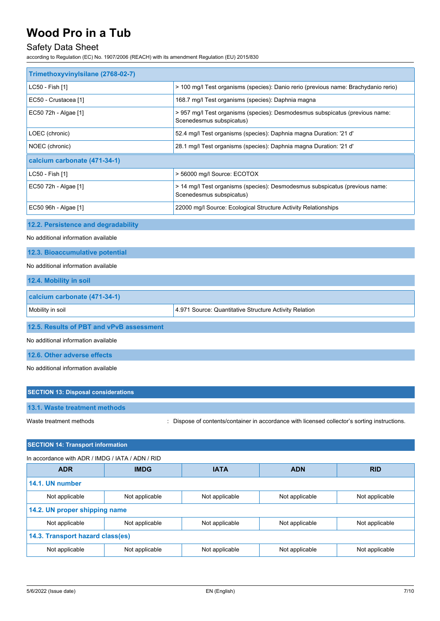## Safety Data Sheet

according to Regulation (EC) No. 1907/2006 (REACH) with its amendment Regulation (EU) 2015/830

| Trimethoxyvinylsilane (2768-02-7)                                                                                                |                                                                                                         |                                                                                     |                |                |  |  |
|----------------------------------------------------------------------------------------------------------------------------------|---------------------------------------------------------------------------------------------------------|-------------------------------------------------------------------------------------|----------------|----------------|--|--|
| LC50 - Fish [1]                                                                                                                  |                                                                                                         | > 100 mg/l Test organisms (species): Danio rerio (previous name: Brachydanio rerio) |                |                |  |  |
| EC50 - Crustacea [1]                                                                                                             |                                                                                                         | 168.7 mg/l Test organisms (species): Daphnia magna                                  |                |                |  |  |
| EC50 72h - Algae [1]<br>> 957 mg/l Test organisms (species): Desmodesmus subspicatus (previous name:<br>Scenedesmus subspicatus) |                                                                                                         |                                                                                     |                |                |  |  |
| LOEC (chronic)                                                                                                                   | 52.4 mg/l Test organisms (species): Daphnia magna Duration: '21 d'                                      |                                                                                     |                |                |  |  |
| NOEC (chronic)                                                                                                                   |                                                                                                         | 28.1 mg/l Test organisms (species): Daphnia magna Duration: '21 d'                  |                |                |  |  |
|                                                                                                                                  | calcium carbonate (471-34-1)                                                                            |                                                                                     |                |                |  |  |
| LC50 - Fish [1]                                                                                                                  | > 56000 mg/l Source: ECOTOX                                                                             |                                                                                     |                |                |  |  |
| EC50 72h - Algae [1]                                                                                                             | > 14 mg/l Test organisms (species): Desmodesmus subspicatus (previous name:<br>Scenedesmus subspicatus) |                                                                                     |                |                |  |  |
| EC50 96h - Algae [1]                                                                                                             | 22000 mg/l Source: Ecological Structure Activity Relationships                                          |                                                                                     |                |                |  |  |
| 12.2. Persistence and degradability                                                                                              |                                                                                                         |                                                                                     |                |                |  |  |
| No additional information available                                                                                              |                                                                                                         |                                                                                     |                |                |  |  |
| 12.3. Bioaccumulative potential                                                                                                  |                                                                                                         |                                                                                     |                |                |  |  |
| No additional information available                                                                                              |                                                                                                         |                                                                                     |                |                |  |  |
| 12.4. Mobility in soil                                                                                                           |                                                                                                         |                                                                                     |                |                |  |  |
| calcium carbonate (471-34-1)                                                                                                     |                                                                                                         |                                                                                     |                |                |  |  |
| Mobility in soil                                                                                                                 |                                                                                                         | 4.971 Source: Quantitative Structure Activity Relation                              |                |                |  |  |
| 12.5. Results of PBT and vPvB assessment                                                                                         |                                                                                                         |                                                                                     |                |                |  |  |
| No additional information available                                                                                              |                                                                                                         |                                                                                     |                |                |  |  |
| 12.6. Other adverse effects                                                                                                      |                                                                                                         |                                                                                     |                |                |  |  |
| No additional information available                                                                                              |                                                                                                         |                                                                                     |                |                |  |  |
|                                                                                                                                  |                                                                                                         |                                                                                     |                |                |  |  |
| <b>SECTION 13: Disposal considerations</b>                                                                                       |                                                                                                         |                                                                                     |                |                |  |  |
| 13.1. Waste treatment methods                                                                                                    |                                                                                                         |                                                                                     |                |                |  |  |
| Waste treatment methods<br>Dispose of contents/container in accordance with licensed collector's sorting instructions.           |                                                                                                         |                                                                                     |                |                |  |  |
| <b>SECTION 14: Transport information</b>                                                                                         |                                                                                                         |                                                                                     |                |                |  |  |
| In accordance with ADR / IMDG / IATA / ADN / RID                                                                                 |                                                                                                         |                                                                                     |                |                |  |  |
| <b>ADR</b>                                                                                                                       | <b>IMDG</b>                                                                                             | <b>IATA</b>                                                                         | <b>ADN</b>     | <b>RID</b>     |  |  |
| 14.1. UN number                                                                                                                  |                                                                                                         |                                                                                     |                |                |  |  |
| Not applicable                                                                                                                   | Not applicable                                                                                          | Not applicable                                                                      | Not applicable | Not applicable |  |  |
| 14.2. UN proper shipping name                                                                                                    |                                                                                                         |                                                                                     |                |                |  |  |
| Not applicable                                                                                                                   | Not applicable                                                                                          | Not applicable                                                                      | Not applicable | Not applicable |  |  |
| 14.3. Transport hazard class(es)                                                                                                 |                                                                                                         |                                                                                     |                |                |  |  |
| Not applicable                                                                                                                   | Not applicable                                                                                          | Not applicable                                                                      | Not applicable | Not applicable |  |  |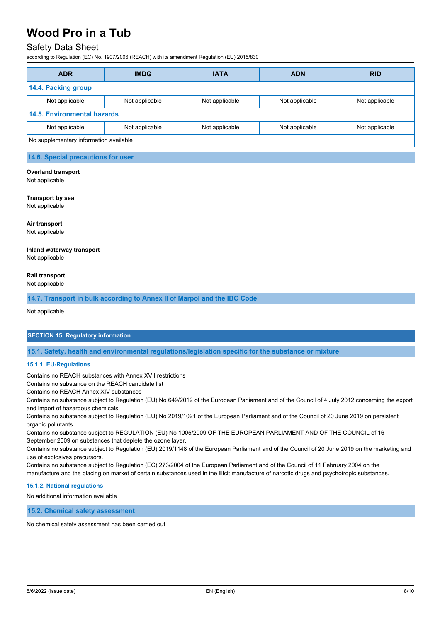### Safety Data Sheet

according to Regulation (EC) No. 1907/2006 (REACH) with its amendment Regulation (EU) 2015/830

| <b>ADR</b>                             | <b>IMDG</b>    | <b>IATA</b>    | <b>ADN</b>     | <b>RID</b>     |
|----------------------------------------|----------------|----------------|----------------|----------------|
| 14.4. Packing group                    |                |                |                |                |
| Not applicable                         | Not applicable | Not applicable | Not applicable | Not applicable |
| <b>14.5. Environmental hazards</b>     |                |                |                |                |
| Not applicable                         | Not applicable | Not applicable | Not applicable | Not applicable |
| No supplementary information available |                |                |                |                |

#### **14.6. Special precautions for user**

#### **Overland transport**

Not applicable

#### **Transport by sea**

Not applicable

#### **Air transport**

Not applicable

### **Inland waterway transport**

Not applicable

#### **Rail transport**

Not applicable

**14.7. Transport in bulk according to Annex II of Marpol and the IBC Code**

Not applicable

### **SECTION 15: Regulatory information**

**15.1. Safety, health and environmental regulations/legislation specific for the substance or mixture**

#### **15.1.1. EU-Regulations**

Contains no REACH substances with Annex XVII restrictions

Contains no substance on the REACH candidate list

Contains no REACH Annex XIV substances

Contains no substance subject to Regulation (EU) No 649/2012 of the European Parliament and of the Council of 4 July 2012 concerning the export and import of hazardous chemicals.

Contains no substance subject to Regulation (EU) No 2019/1021 of the European Parliament and of the Council of 20 June 2019 on persistent organic pollutants

Contains no substance subject to REGULATION (EU) No 1005/2009 OF THE EUROPEAN PARLIAMENT AND OF THE COUNCIL of 16 September 2009 on substances that deplete the ozone layer.

Contains no substance subject to Regulation (EU) 2019/1148 of the European Parliament and of the Council of 20 June 2019 on the marketing and use of explosives precursors.

Contains no substance subject to Regulation (EC) 273/2004 of the European Parliament and of the Council of 11 February 2004 on the manufacture and the placing on market of certain substances used in the illicit manufacture of narcotic drugs and psychotropic substances.

#### **15.1.2. National regulations**

No additional information available

**15.2. Chemical safety assessment**

No chemical safety assessment has been carried out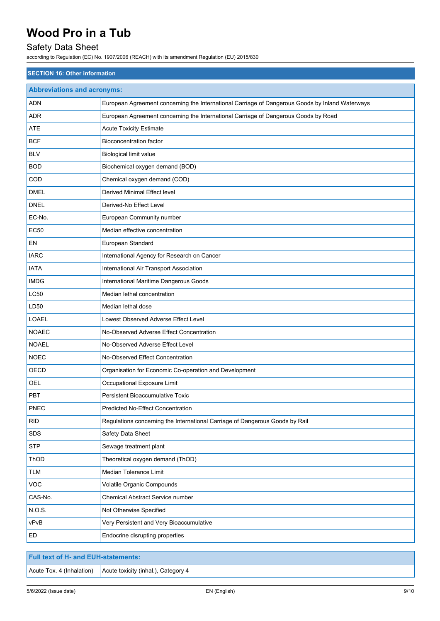## Safety Data Sheet

according to Regulation (EC) No. 1907/2006 (REACH) with its amendment Regulation (EU) 2015/830

| <b>SECTION 16: Other information</b> |                                                                                                 |  |
|--------------------------------------|-------------------------------------------------------------------------------------------------|--|
| <b>Abbreviations and acronyms:</b>   |                                                                                                 |  |
| ADN                                  | European Agreement concerning the International Carriage of Dangerous Goods by Inland Waterways |  |
| <b>ADR</b>                           | European Agreement concerning the International Carriage of Dangerous Goods by Road             |  |
| ATE                                  | <b>Acute Toxicity Estimate</b>                                                                  |  |
| <b>BCF</b>                           | <b>Bioconcentration factor</b>                                                                  |  |
| <b>BLV</b>                           | Biological limit value                                                                          |  |
| <b>BOD</b>                           | Biochemical oxygen demand (BOD)                                                                 |  |
| COD                                  | Chemical oxygen demand (COD)                                                                    |  |
| <b>DMEL</b>                          | Derived Minimal Effect level                                                                    |  |
| <b>DNEL</b>                          | Derived-No Effect Level                                                                         |  |
| EC-No.                               | European Community number                                                                       |  |
| <b>EC50</b>                          | Median effective concentration                                                                  |  |
| EN                                   | European Standard                                                                               |  |
| <b>IARC</b>                          | International Agency for Research on Cancer                                                     |  |
| <b>IATA</b>                          | International Air Transport Association                                                         |  |
| <b>IMDG</b>                          | International Maritime Dangerous Goods                                                          |  |
| LC50                                 | Median lethal concentration                                                                     |  |
| LD50                                 | Median lethal dose                                                                              |  |
| LOAEL                                | Lowest Observed Adverse Effect Level                                                            |  |
| <b>NOAEC</b>                         | No-Observed Adverse Effect Concentration                                                        |  |
| <b>NOAEL</b>                         | No-Observed Adverse Effect Level                                                                |  |
| <b>NOEC</b>                          | No-Observed Effect Concentration                                                                |  |
| OECD                                 | Organisation for Economic Co-operation and Development                                          |  |
| <b>OEL</b>                           | Occupational Exposure Limit                                                                     |  |
| PBT                                  | <b>Persistent Bioaccumulative Toxic</b>                                                         |  |
| PNEC                                 | <b>Predicted No-Effect Concentration</b>                                                        |  |
| <b>RID</b>                           | Regulations concerning the International Carriage of Dangerous Goods by Rail                    |  |
| SDS                                  | Safety Data Sheet                                                                               |  |
| <b>STP</b>                           | Sewage treatment plant                                                                          |  |
| ThOD                                 | Theoretical oxygen demand (ThOD)                                                                |  |
| <b>TLM</b>                           | Median Tolerance Limit                                                                          |  |
| VOC                                  | Volatile Organic Compounds                                                                      |  |
| CAS-No.                              | Chemical Abstract Service number                                                                |  |
| N.O.S.                               | Not Otherwise Specified                                                                         |  |
| vPvB                                 | Very Persistent and Very Bioaccumulative                                                        |  |
| ED                                   | Endocrine disrupting properties                                                                 |  |
|                                      |                                                                                                 |  |

| Full text of H- and EUH-statements: \ |                                                                               |
|---------------------------------------|-------------------------------------------------------------------------------|
|                                       | $\vert$ Acute Tox. 4 (Inhalation) $\vert$ Acute toxicity (inhal.), Category 4 |